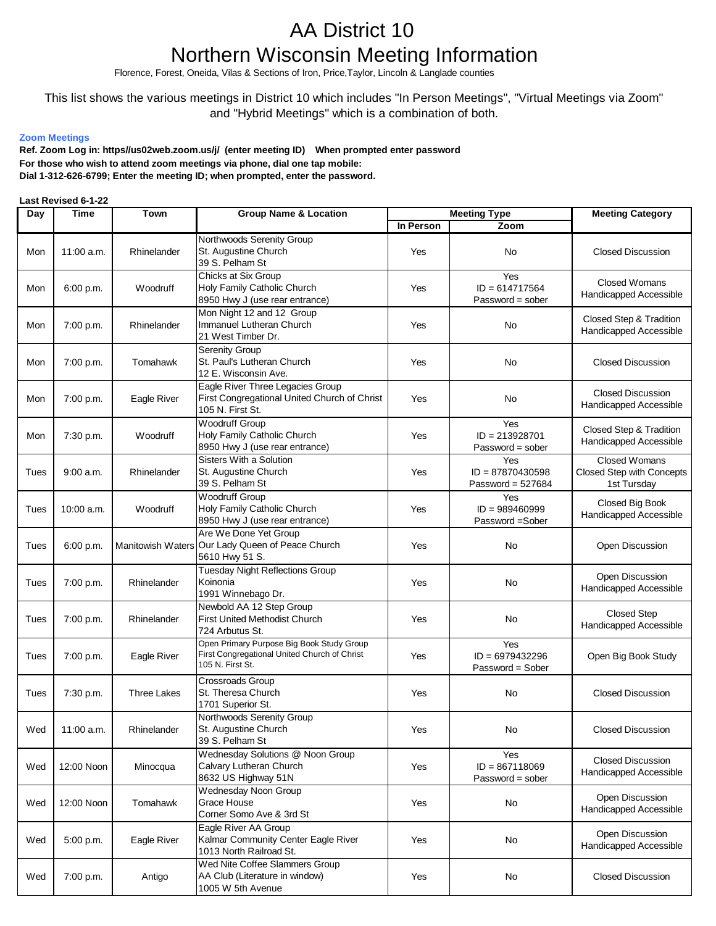## AA District 10 Northern Wisconsin Meeting Information

Florence, Forest, Oneida, Vilas & Sections of Iron, Price,Taylor, Lincoln & Langlade counties

## This list shows the various meetings in District 10 which includes "In Person Meetings", "Virtual Meetings via Zoom" and "Hybrid Meetings" which is a combination of both.

## **Zoom Meetings**

**For those who wish to attend zoom meetings via phone, dial one tap mobile: Dial 1-312-626-6799; Enter the meeting ID; when prompted, enter the password. Ref. Zoom Log in: https//us02web.zoom.us/j/ (enter meeting ID) When prompted enter password**

## **Last Revised 6-1-22**

| Day  | Time        | Town               | <b>Group Name &amp; Location</b>                                                                              | <b>Meeting Type</b> |                                                  | <b>Meeting Category</b>                                          |
|------|-------------|--------------------|---------------------------------------------------------------------------------------------------------------|---------------------|--------------------------------------------------|------------------------------------------------------------------|
|      |             |                    |                                                                                                               | In Person           | Zoom                                             |                                                                  |
| Mon  | 11:00 a.m.  | Rhinelander        | Northwoods Serenity Group<br>St. Augustine Church<br>39 S. Pelham St                                          | Yes                 | No                                               | <b>Closed Discussion</b>                                         |
| Mon  | 6:00 p.m.   | Woodruff           | Chicks at Six Group<br>Holy Family Catholic Church<br>8950 Hwy J (use rear entrance)                          | Yes                 | Yes<br>$ID = 614717564$<br>$Password = sober$    | <b>Closed Womans</b><br>Handicapped Accessible                   |
| Mon  | 7:00 p.m.   | Rhinelander        | Mon Night 12 and 12 Group<br>Immanuel Lutheran Church<br>21 West Timber Dr.                                   | Yes                 | No                                               | Closed Step & Tradition<br>Handicapped Accessible                |
| Mon  | 7:00 p.m.   | Tomahawk           | Serenity Group<br>St. Paul's Lutheran Church<br>12 E. Wisconsin Ave.                                          | Yes                 | No                                               | <b>Closed Discussion</b>                                         |
| Mon  | 7:00 p.m.   | Eagle River        | Eagle River Three Legacies Group<br>First Congregational United Church of Christ<br>105 N. First St.          | Yes                 | No                                               | <b>Closed Discussion</b><br>Handicapped Accessible               |
| Mon  | 7:30 p.m.   | Woodruff           | <b>Woodruff Group</b><br>Holy Family Catholic Church<br>8950 Hwy J (use rear entrance)                        | Yes                 | Yes<br>$ID = 213928701$<br>Password = sober      | Closed Step & Tradition<br>Handicapped Accessible                |
| Tues | $9:00$ a.m. | Rhinelander        | Sisters With a Solution<br>St. Augustine Church<br>39 S. Pelham St                                            | Yes                 | Yes<br>$ID = 87870430598$<br>Password = $527684$ | <b>Closed Womans</b><br>Closed Step with Concepts<br>1st Tursday |
| Tues | 10:00 a.m.  | Woodruff           | <b>Woodruff Group</b><br>Holy Family Catholic Church<br>8950 Hwy J (use rear entrance)                        | Yes                 | Yes<br>$ID = 989460999$<br>Password = Sober      | Closed Big Book<br>Handicapped Accessible                        |
| Tues | 6:00 p.m.   |                    | Are We Done Yet Group<br>Manitowish Waters Our Lady Queen of Peace Church<br>5610 Hwy 51 S.                   | Yes                 | No                                               | Open Discussion                                                  |
| Tues | 7:00 p.m.   | Rhinelander        | <b>Tuesday Night Reflections Group</b><br>Koinonia<br>1991 Winnebago Dr.                                      | Yes                 | No                                               | Open Discussion<br>Handicapped Accessible                        |
| Tues | 7:00 p.m.   | Rhinelander        | Newbold AA 12 Step Group<br><b>First United Methodist Church</b><br>724 Arbutus St.                           | Yes                 | No                                               | <b>Closed Step</b><br>Handicapped Accessible                     |
| Tues | 7:00 p.m.   | Eagle River        | Open Primary Purpose Big Book Study Group<br>First Congregational United Church of Christ<br>105 N. First St. | Yes                 | Yes<br>$ID = 6979432296$<br>Password = Sober     | Open Big Book Study                                              |
| Tues | 7:30 p.m.   | <b>Three Lakes</b> | Crossroads Group<br>St. Theresa Church<br>1701 Superior St.                                                   | Yes                 | No                                               | <b>Closed Discussion</b>                                         |
| Wed  | 11:00 a.m.  | Rhinelander        | Northwoods Serenity Group<br>St. Augustine Church<br>39 S. Pelham St                                          | Yes                 | No                                               | <b>Closed Discussion</b>                                         |
| Wed  | 12:00 Noon  | Minocqua           | Wednesday Solutions @ Noon Group<br>Calvary Lutheran Church<br>8632 US Highway 51N                            | Yes                 | Yes<br>$ID = 867118069$<br>Password = sober      | <b>Closed Discussion</b><br>Handicapped Accessible               |
| Wed  | 12:00 Noon  | Tomahawk           | Wednesday Noon Group<br>Grace House<br>Corner Somo Ave & 3rd St                                               | Yes                 | No                                               | Open Discussion<br>Handicapped Accessible                        |
| Wed  | 5:00 p.m.   | Eagle River        | Eagle River AA Group<br>Kalmar Community Center Eagle River<br>1013 North Railroad St.                        | Yes                 | No                                               | Open Discussion<br>Handicapped Accessible                        |
| Wed  | 7:00 p.m.   | Antigo             | Wed Nite Coffee Slammers Group<br>AA Club (Literature in window)<br>1005 W 5th Avenue                         | Yes                 | No                                               | <b>Closed Discussion</b>                                         |